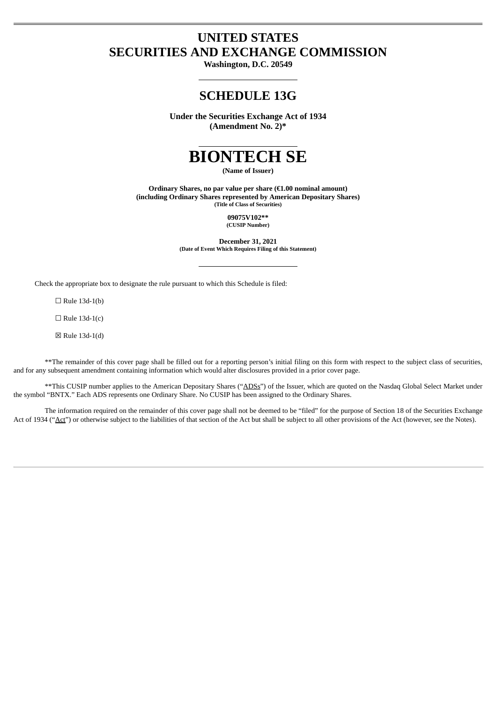# **UNITED STATES SECURITIES AND EXCHANGE COMMISSION**

**Washington, D.C. 20549**

## **SCHEDULE 13G**

**Under the Securities Exchange Act of 1934 (Amendment No. 2)\***



**(Name of Issuer)**

**Ordinary Shares, no par value per share (€1.00 nominal amount) (including Ordinary Shares represented by American Depositary Shares) (Title of Class of Securities)**

> **09075V102\*\* (CUSIP Number)**

**December 31, 2021 (Date of Event Which Requires Filing of this Statement)**

Check the appropriate box to designate the rule pursuant to which this Schedule is filed:

 $\Box$  Rule 13d-1(b)

 $\Box$  Rule 13d-1(c)

☒ Rule 13d-1(d)

\*\*The remainder of this cover page shall be filled out for a reporting person's initial filing on this form with respect to the subject class of securities, and for any subsequent amendment containing information which would alter disclosures provided in a prior cover page.

\*\*This CUSIP number applies to the American Depositary Shares ("ADSs") of the Issuer, which are quoted on the Nasdaq Global Select Market under the symbol "BNTX." Each ADS represents one Ordinary Share. No CUSIP has been assigned to the Ordinary Shares.

The information required on the remainder of this cover page shall not be deemed to be "filed" for the purpose of Section 18 of the Securities Exchange Act of 1934 ("Act") or otherwise subject to the liabilities of that section of the Act but shall be subject to all other provisions of the Act (however, see the Notes).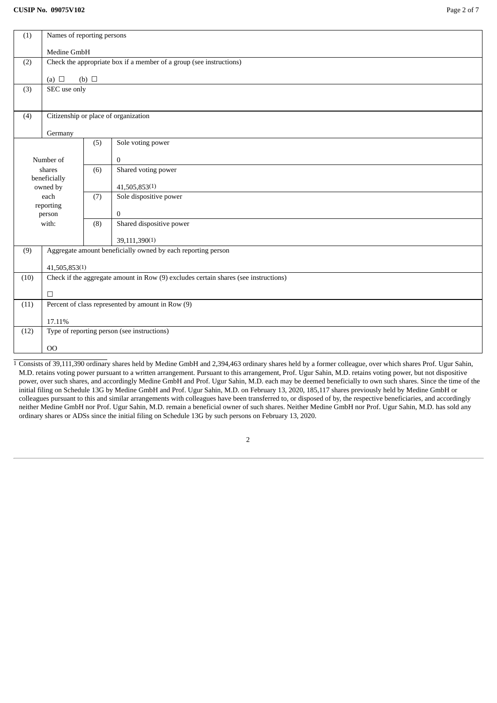| Names of reporting persons<br>(1)                   |                                                                                     |                                      |                          |  |  |  |  |  |
|-----------------------------------------------------|-------------------------------------------------------------------------------------|--------------------------------------|--------------------------|--|--|--|--|--|
|                                                     | Medine GmbH                                                                         |                                      |                          |  |  |  |  |  |
| (2)                                                 | Check the appropriate box if a member of a group (see instructions)                 |                                      |                          |  |  |  |  |  |
|                                                     | (a) $\Box$                                                                          | (b) $\Box$                           |                          |  |  |  |  |  |
| SEC use only<br>(3)                                 |                                                                                     |                                      |                          |  |  |  |  |  |
|                                                     |                                                                                     |                                      |                          |  |  |  |  |  |
| (4)                                                 |                                                                                     | Citizenship or place of organization |                          |  |  |  |  |  |
|                                                     |                                                                                     |                                      |                          |  |  |  |  |  |
|                                                     |                                                                                     | (5)                                  | Sole voting power        |  |  |  |  |  |
|                                                     | Number of                                                                           |                                      | $\mathbf{0}$             |  |  |  |  |  |
|                                                     | shares                                                                              |                                      | Shared voting power      |  |  |  |  |  |
|                                                     | beneficially<br>owned by                                                            |                                      | 41,505,853(1)            |  |  |  |  |  |
|                                                     | each                                                                                | (7)                                  | Sole dispositive power   |  |  |  |  |  |
|                                                     | reporting<br>person                                                                 |                                      | $\mathbf{0}$             |  |  |  |  |  |
|                                                     | with:                                                                               |                                      | Shared dispositive power |  |  |  |  |  |
|                                                     |                                                                                     |                                      | 39,111,390(1)            |  |  |  |  |  |
| (9)                                                 | Aggregate amount beneficially owned by each reporting person                        |                                      |                          |  |  |  |  |  |
|                                                     | 41,505,853(1)                                                                       |                                      |                          |  |  |  |  |  |
| (10)                                                | Check if the aggregate amount in Row (9) excludes certain shares (see instructions) |                                      |                          |  |  |  |  |  |
|                                                     | $\Box$                                                                              |                                      |                          |  |  |  |  |  |
| (11)                                                | Percent of class represented by amount in Row (9)                                   |                                      |                          |  |  |  |  |  |
|                                                     | 17.11%                                                                              |                                      |                          |  |  |  |  |  |
| Type of reporting person (see instructions)<br>(12) |                                                                                     |                                      |                          |  |  |  |  |  |
|                                                     | O <sub>O</sub>                                                                      |                                      |                          |  |  |  |  |  |
|                                                     |                                                                                     |                                      |                          |  |  |  |  |  |

 $\frac{1}{1}$  Consists of 39,111,390 ordinary shares held by Medine GmbH and 2,394,463 ordinary shares held by a former colleague, over which shares Prof. Ugur Sahin, M.D. retains voting power pursuant to a written arrangement. Pursuant to this arrangement, Prof. Ugur Sahin, M.D. retains voting power, but not dispositive power, over such shares, and accordingly Medine GmbH and Prof. Ugur Sahin, M.D. each may be deemed beneficially to own such shares. Since the time of the initial filing on Schedule 13G by Medine GmbH and Prof. Ugur Sahin, M.D. on February 13, 2020, 185,117 shares previously held by Medine GmbH or colleagues pursuant to this and similar arrangements with colleagues have been transferred to, or disposed of by, the respective beneficiaries, and accordingly neither Medine GmbH nor Prof. Ugur Sahin, M.D. remain a beneficial owner of such shares. Neither Medine GmbH nor Prof. Ugur Sahin, M.D. has sold any ordinary shares or ADSs since the initial filing on Schedule 13G by such persons on February 13, 2020.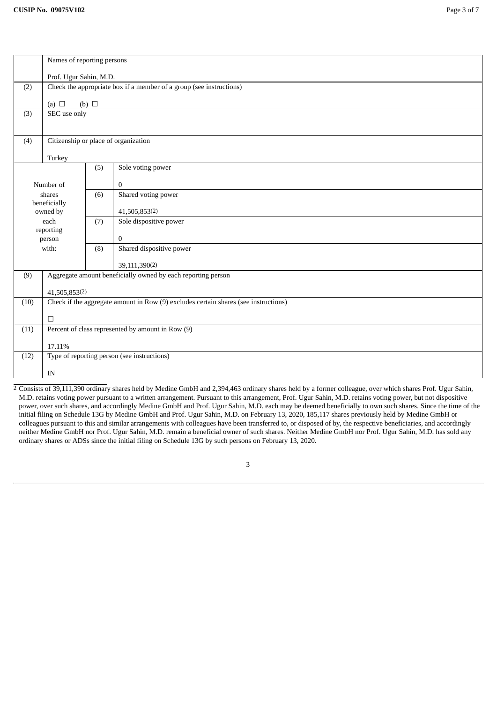|       | Names of reporting persons                                                 |                                                                                     |                                      |  |  |  |  |
|-------|----------------------------------------------------------------------------|-------------------------------------------------------------------------------------|--------------------------------------|--|--|--|--|
|       |                                                                            |                                                                                     |                                      |  |  |  |  |
|       | Prof. Ugur Sahin, M.D.                                                     |                                                                                     |                                      |  |  |  |  |
|       | Check the appropriate box if a member of a group (see instructions)<br>(2) |                                                                                     |                                      |  |  |  |  |
|       | (b) $\Box$<br>(a) $\Box$                                                   |                                                                                     |                                      |  |  |  |  |
| (3)   | SEC use only                                                               |                                                                                     |                                      |  |  |  |  |
|       |                                                                            |                                                                                     |                                      |  |  |  |  |
|       |                                                                            |                                                                                     |                                      |  |  |  |  |
| (4)   |                                                                            |                                                                                     | Citizenship or place of organization |  |  |  |  |
|       |                                                                            |                                                                                     |                                      |  |  |  |  |
|       | Turkey                                                                     |                                                                                     |                                      |  |  |  |  |
|       |                                                                            | (5)                                                                                 | Sole voting power                    |  |  |  |  |
|       | Number of                                                                  |                                                                                     | $\mathbf{0}$                         |  |  |  |  |
|       | shares                                                                     | (6)                                                                                 | Shared voting power                  |  |  |  |  |
|       | beneficially                                                               |                                                                                     |                                      |  |  |  |  |
|       | owned by                                                                   |                                                                                     | 41,505,853(2)                        |  |  |  |  |
|       | each                                                                       | (7)                                                                                 | Sole dispositive power               |  |  |  |  |
|       | reporting                                                                  |                                                                                     |                                      |  |  |  |  |
|       | person                                                                     |                                                                                     | $\mathbf{0}$                         |  |  |  |  |
| with: |                                                                            | (8)                                                                                 | Shared dispositive power             |  |  |  |  |
|       |                                                                            |                                                                                     | 39,111,390(2)                        |  |  |  |  |
| (9)   | Aggregate amount beneficially owned by each reporting person               |                                                                                     |                                      |  |  |  |  |
|       |                                                                            |                                                                                     |                                      |  |  |  |  |
|       | 41,505,853(2)                                                              |                                                                                     |                                      |  |  |  |  |
| (10)  |                                                                            | Check if the aggregate amount in Row (9) excludes certain shares (see instructions) |                                      |  |  |  |  |
|       |                                                                            |                                                                                     |                                      |  |  |  |  |
|       | $\Box$                                                                     |                                                                                     |                                      |  |  |  |  |
| (11)  |                                                                            | Percent of class represented by amount in Row (9)                                   |                                      |  |  |  |  |
|       | 17.11%                                                                     |                                                                                     |                                      |  |  |  |  |
| (12)  |                                                                            | Type of reporting person (see instructions)                                         |                                      |  |  |  |  |
|       |                                                                            |                                                                                     |                                      |  |  |  |  |
| IN    |                                                                            |                                                                                     |                                      |  |  |  |  |

 $\frac{2}{3}$  Consists of 39,111,390 ordinary shares held by Medine GmbH and 2,394,463 ordinary shares held by a former colleague, over which shares Prof. Ugur Sahin, M.D. retains voting power pursuant to a written arrangement. Pursuant to this arrangement, Prof. Ugur Sahin, M.D. retains voting power, but not dispositive power, over such shares, and accordingly Medine GmbH and Prof. Ugur Sahin, M.D. each may be deemed beneficially to own such shares. Since the time of the initial filing on Schedule 13G by Medine GmbH and Prof. Ugur Sahin, M.D. on February 13, 2020, 185,117 shares previously held by Medine GmbH or colleagues pursuant to this and similar arrangements with colleagues have been transferred to, or disposed of by, the respective beneficiaries, and accordingly neither Medine GmbH nor Prof. Ugur Sahin, M.D. remain a beneficial owner of such shares. Neither Medine GmbH nor Prof. Ugur Sahin, M.D. has sold any ordinary shares or ADSs since the initial filing on Schedule 13G by such persons on February 13, 2020.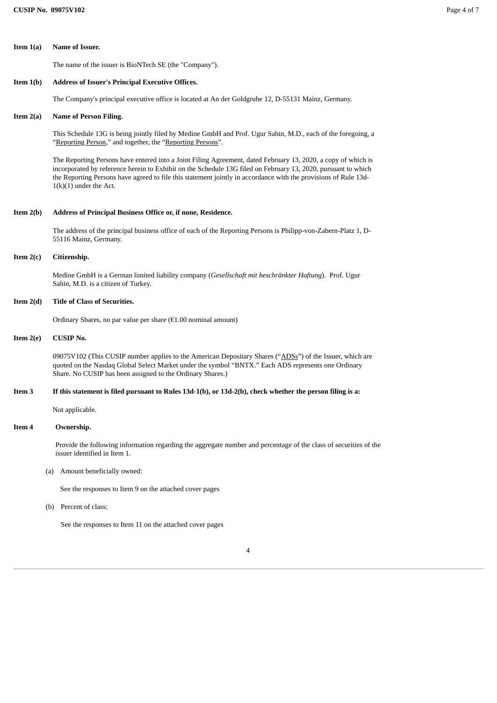**Item 1(a) Name of Issuer.**

The name of the issuer is BioNTech SE (the "Company").

#### **Item 1(b) Address of Issuer's Principal Executive Offices.**

The Company's principal executive office is located at An der Goldgrube 12, D-55131 Mainz, Germany.

#### **Item 2(a) Name of Person Filing.**

This Schedule 13G is being jointly filed by Medine GmbH and Prof. Ugur Sahin, M.D., each of the foregoing, a "Reporting Person," and together, the "Reporting Persons".

The Reporting Persons have entered into a Joint Filing Agreement, dated February 13, 2020, a copy of which is incorporated by reference herein to Exhibit on the Schedule 13G filed on February 13, 2020, pursuant to which the Reporting Persons have agreed to file this statement jointly in accordance with the provisions of Rule 13d- $1(k)(1)$  under the Act.

#### **Item 2(b) Address of Principal Business Office or, if none, Residence.**

The address of the principal business office of each of the Reporting Persons is Philipp-von-Zabern-Platz 1, D-55116 Mainz, Germany.

### **Item 2(c) Citizenship.**

Medine GmbH is a German limited liability company (*Gesellschaft mit beschränkter Haftung*). Prof. Ugur Sahin, M.D. is a citizen of Turkey.

## **Item 2(d) Title of Class of Securities.**

Ordinary Shares, no par value per share (€1.00 nominal amount)

## **Item 2(e) CUSIP No.**

09075V102 (This CUSIP number applies to the American Depositary Shares ("ADSs") of the Issuer, which are quoted on the Nasdaq Global Select Market under the symbol "BNTX." Each ADS represents one Ordinary Share. No CUSIP has been assigned to the Ordinary Shares.)

### Item 3 If this statement is filed pursuant to Rules 13d-1(b), or 13d-2(b), check whether the person filing is a:

Not applicable.

## **Item 4 Ownership.**

Provide the following information regarding the aggregate number and percentage of the class of securities of the issuer identified in Item 1.

(a) Amount beneficially owned:

See the responses to Item 9 on the attached cover pages

(b) Percent of class:

See the responses to Item 11 on the attached cover pages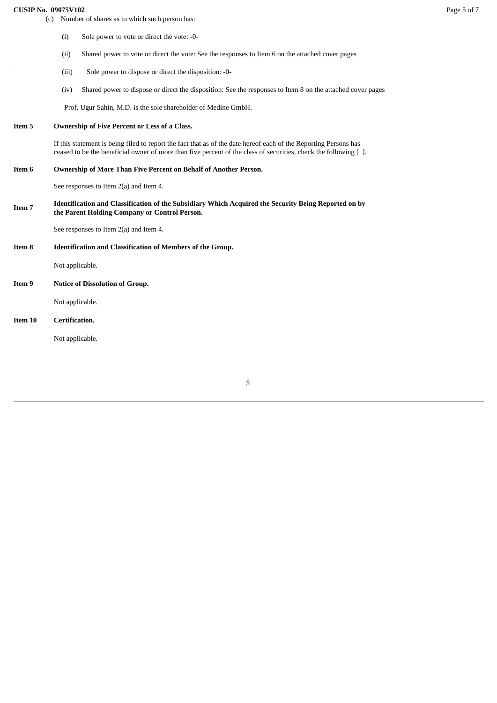## **CUSIP No. 09075V102** Page 5 of 7

|               | (c) Number of shares as to which such person has:                                                                                                     |                                                                                                                                                                                                                                     |  |  |  |
|---------------|-------------------------------------------------------------------------------------------------------------------------------------------------------|-------------------------------------------------------------------------------------------------------------------------------------------------------------------------------------------------------------------------------------|--|--|--|
|               | (i)                                                                                                                                                   | Sole power to vote or direct the vote: -0-                                                                                                                                                                                          |  |  |  |
|               | (ii)                                                                                                                                                  | Shared power to vote or direct the vote: See the responses to Item 6 on the attached cover pages                                                                                                                                    |  |  |  |
|               | (iii)                                                                                                                                                 | Sole power to dispose or direct the disposition: -0-                                                                                                                                                                                |  |  |  |
|               | (iv)                                                                                                                                                  | Shared power to dispose or direct the disposition: See the responses to Item 8 on the attached cover pages                                                                                                                          |  |  |  |
|               |                                                                                                                                                       | Prof. Ugur Sahin, M.D. is the sole shareholder of Medine GmbH.                                                                                                                                                                      |  |  |  |
| Item 5        |                                                                                                                                                       | Ownership of Five Percent or Less of a Class.                                                                                                                                                                                       |  |  |  |
|               |                                                                                                                                                       | If this statement is being filed to report the fact that as of the date hereof each of the Reporting Persons has<br>ceased to be the beneficial owner of more than five percent of the class of securities, check the following []. |  |  |  |
| Item 6        | Ownership of More Than Five Percent on Behalf of Another Person.                                                                                      |                                                                                                                                                                                                                                     |  |  |  |
|               |                                                                                                                                                       | See responses to Item 2(a) and Item 4.                                                                                                                                                                                              |  |  |  |
| <b>Item 7</b> | Identification and Classification of the Subsidiary Which Acquired the Security Being Reported on by<br>the Parent Holding Company or Control Person. |                                                                                                                                                                                                                                     |  |  |  |
|               |                                                                                                                                                       | See responses to Item $2(a)$ and Item 4.                                                                                                                                                                                            |  |  |  |
| Item 8        | <b>Identification and Classification of Members of the Group.</b>                                                                                     |                                                                                                                                                                                                                                     |  |  |  |
|               | Not applicable.                                                                                                                                       |                                                                                                                                                                                                                                     |  |  |  |
| Item 9        |                                                                                                                                                       | Notice of Dissolution of Group.                                                                                                                                                                                                     |  |  |  |
|               | Not applicable.                                                                                                                                       |                                                                                                                                                                                                                                     |  |  |  |
| Item 10       | Certification.                                                                                                                                        |                                                                                                                                                                                                                                     |  |  |  |
|               | Not applicable.                                                                                                                                       |                                                                                                                                                                                                                                     |  |  |  |

5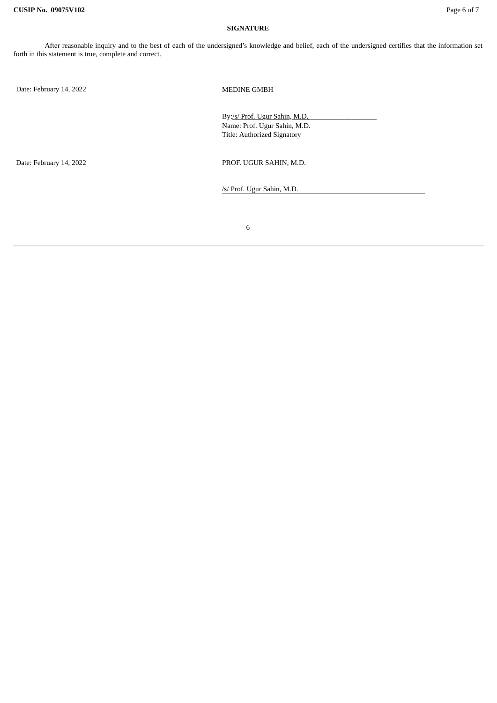#### **SIGNATURE**

Date: February 14, 2022 MEDINE GMBH

By:/s/ Prof. Ugur Sahin, M.D. Name: Prof. Ugur Sahin, M.D. Title: Authorized Signatory

Date: February 14, 2022 <br>
PROF. UGUR SAHIN, M.D.

/s/ Prof. Ugur Sahin, M.D.